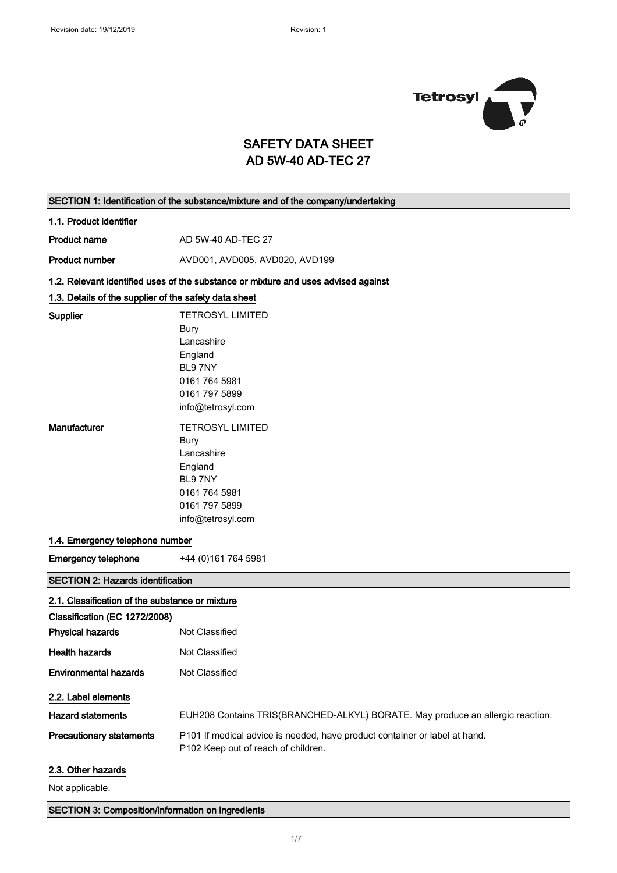

# SAFETY DATA SHEET AD 5W-40 AD-TEC 27

| SECTION 1: Identification of the substance/mixture and of the company/undertaking |                                                                                                                   |  |
|-----------------------------------------------------------------------------------|-------------------------------------------------------------------------------------------------------------------|--|
| 1.1. Product identifier                                                           |                                                                                                                   |  |
| <b>Product name</b>                                                               | AD 5W-40 AD-TEC 27                                                                                                |  |
| <b>Product number</b>                                                             | AVD001, AVD005, AVD020, AVD199                                                                                    |  |
|                                                                                   | 1.2. Relevant identified uses of the substance or mixture and uses advised against                                |  |
| 1.3. Details of the supplier of the safety data sheet                             |                                                                                                                   |  |
| Supplier                                                                          | <b>TETROSYL LIMITED</b>                                                                                           |  |
|                                                                                   | Bury                                                                                                              |  |
|                                                                                   | Lancashire                                                                                                        |  |
|                                                                                   | England                                                                                                           |  |
|                                                                                   | BL97NY                                                                                                            |  |
|                                                                                   | 0161 764 5981                                                                                                     |  |
|                                                                                   | 0161 797 5899                                                                                                     |  |
|                                                                                   | info@tetrosyl.com                                                                                                 |  |
| Manufacturer                                                                      | <b>TETROSYL LIMITED</b>                                                                                           |  |
|                                                                                   | Bury                                                                                                              |  |
|                                                                                   | Lancashire                                                                                                        |  |
|                                                                                   | England                                                                                                           |  |
|                                                                                   | BL97NY                                                                                                            |  |
|                                                                                   | 0161 764 5981                                                                                                     |  |
|                                                                                   | 0161 797 5899                                                                                                     |  |
|                                                                                   | info@tetrosyl.com                                                                                                 |  |
| 1.4. Emergency telephone number                                                   |                                                                                                                   |  |
| <b>Emergency telephone</b>                                                        | +44 (0) 161 764 5981                                                                                              |  |
| <b>SECTION 2: Hazards identification</b>                                          |                                                                                                                   |  |
| 2.1. Classification of the substance or mixture                                   |                                                                                                                   |  |
| Classification (EC 1272/2008)                                                     |                                                                                                                   |  |
| <b>Physical hazards</b>                                                           | Not Classified                                                                                                    |  |
| <b>Health hazards</b>                                                             | Not Classified                                                                                                    |  |
| <b>Environmental hazards</b>                                                      | Not Classified                                                                                                    |  |
| 2.2. Label elements                                                               |                                                                                                                   |  |
| <b>Hazard statements</b>                                                          | EUH208 Contains TRIS(BRANCHED-ALKYL) BORATE. May produce an allergic reaction.                                    |  |
| <b>Precautionary statements</b>                                                   | P101 If medical advice is needed, have product container or label at hand.<br>P102 Keep out of reach of children. |  |
| 2.3. Other hazards                                                                |                                                                                                                   |  |
| Not applicable.                                                                   |                                                                                                                   |  |

## SECTION 3: Composition/information on ingredients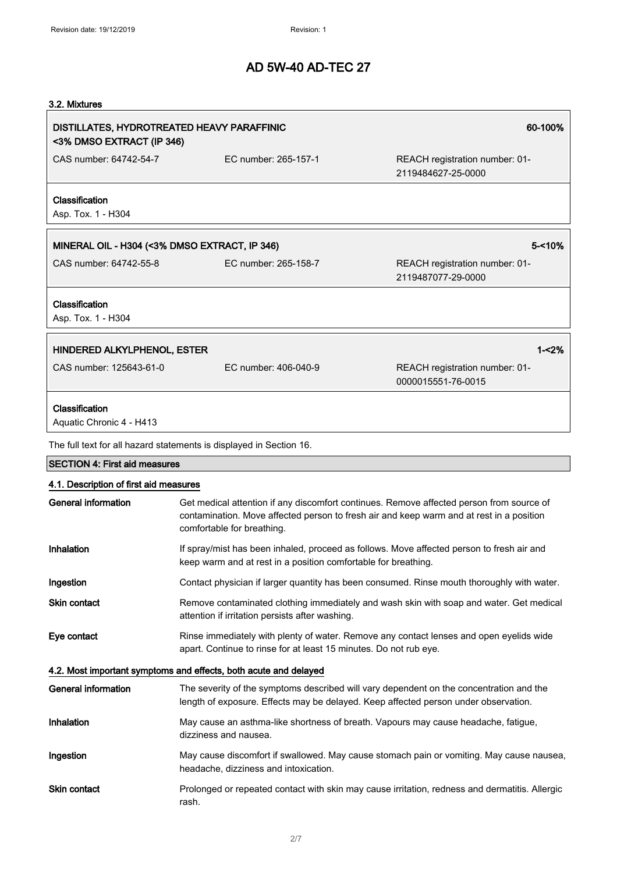## 3.2. Mixtures

| DISTILLATES, HYDROTREATED HEAVY PARAFFINIC<br><3% DMSO EXTRACT (IP 346) |                                                                     | 60-100%                                                                                  |
|-------------------------------------------------------------------------|---------------------------------------------------------------------|------------------------------------------------------------------------------------------|
| CAS number: 64742-54-7                                                  | EC number: 265-157-1                                                | REACH registration number: 01-<br>2119484627-25-0000                                     |
| Classification<br>Asp. Tox. 1 - H304                                    |                                                                     |                                                                                          |
| MINERAL OIL - H304 (<3% DMSO EXTRACT, IP 346)                           |                                                                     | $5 - 10%$                                                                                |
| CAS number: 64742-55-8                                                  | EC number: 265-158-7                                                | REACH registration number: 01-<br>2119487077-29-0000                                     |
| Classification<br>Asp. Tox. 1 - H304                                    |                                                                     |                                                                                          |
| HINDERED ALKYLPHENOL, ESTER                                             |                                                                     | $1 - 2%$                                                                                 |
| CAS number: 125643-61-0                                                 | EC number: 406-040-9                                                | REACH registration number: 01-<br>0000015551-76-0015                                     |
| Classification<br>Aquatic Chronic 4 - H413                              |                                                                     |                                                                                          |
|                                                                         | The full text for all hazard statements is displayed in Section 16. |                                                                                          |
| <b>SECTION 4: First aid measures</b>                                    |                                                                     |                                                                                          |
| 4.1. Description of first aid measures                                  |                                                                     |                                                                                          |
| General information                                                     |                                                                     | Get medical attention if any discomfort continues. Remove affected person from source of |

|                     | contamination. Move affected person to fresh air and keep warm and at rest in a position<br>comfortable for breathing.                                      |
|---------------------|-------------------------------------------------------------------------------------------------------------------------------------------------------------|
| <b>Inhalation</b>   | If spray/mist has been inhaled, proceed as follows. Move affected person to fresh air and<br>keep warm and at rest in a position comfortable for breathing. |
| Ingestion           | Contact physician if larger quantity has been consumed. Rinse mouth thoroughly with water.                                                                  |
| <b>Skin contact</b> | Remove contaminated clothing immediately and wash skin with soap and water. Get medical                                                                     |

attention if irritation persists after washing. Eye contact Rinse immediately with plenty of water. Remove any contact lenses and open eyelids wide apart. Continue to rinse for at least 15 minutes. Do not rub eye.

#### 4.2. Most important symptoms and effects, both acute and delayed

| General information | The severity of the symptoms described will vary dependent on the concentration and the<br>length of exposure. Effects may be delayed. Keep affected person under observation. |
|---------------------|--------------------------------------------------------------------------------------------------------------------------------------------------------------------------------|
| Inhalation          | May cause an asthma-like shortness of breath. Vapours may cause headache, fatigue,<br>dizziness and nausea.                                                                    |
| Ingestion           | May cause discomfort if swallowed. May cause stomach pain or vomiting. May cause nausea,<br>headache, dizziness and intoxication.                                              |
| <b>Skin contact</b> | Prolonged or repeated contact with skin may cause irritation, redness and dermatitis. Allergic<br>rash.                                                                        |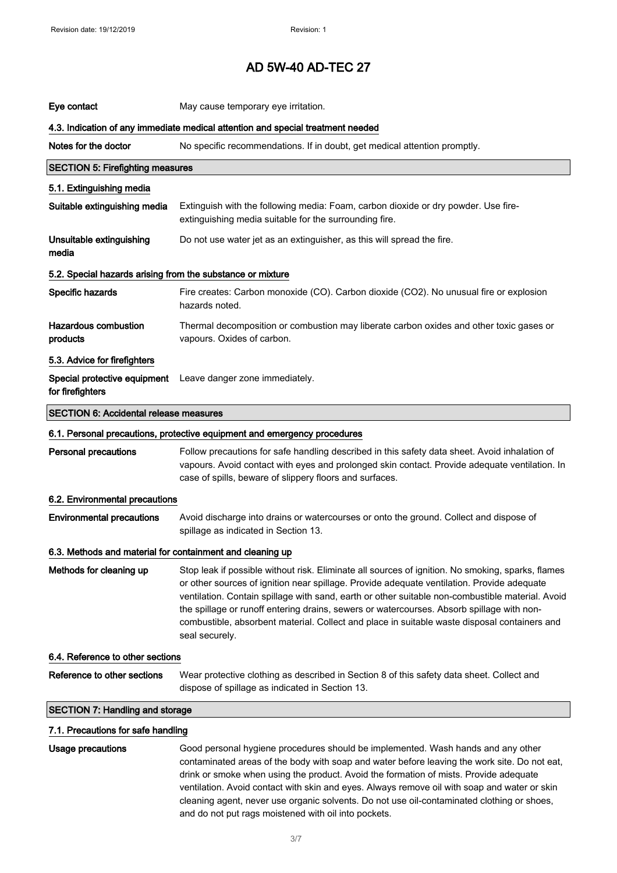| Eye contact                                                                     | May cause temporary eye irritation.                                                                                                                                                                                                                                                                                                                                                                                                                                                                                |  |
|---------------------------------------------------------------------------------|--------------------------------------------------------------------------------------------------------------------------------------------------------------------------------------------------------------------------------------------------------------------------------------------------------------------------------------------------------------------------------------------------------------------------------------------------------------------------------------------------------------------|--|
| 4.3. Indication of any immediate medical attention and special treatment needed |                                                                                                                                                                                                                                                                                                                                                                                                                                                                                                                    |  |
| Notes for the doctor                                                            | No specific recommendations. If in doubt, get medical attention promptly.                                                                                                                                                                                                                                                                                                                                                                                                                                          |  |
| <b>SECTION 5: Firefighting measures</b>                                         |                                                                                                                                                                                                                                                                                                                                                                                                                                                                                                                    |  |
| 5.1. Extinguishing media                                                        |                                                                                                                                                                                                                                                                                                                                                                                                                                                                                                                    |  |
| Suitable extinguishing media                                                    | Extinguish with the following media: Foam, carbon dioxide or dry powder. Use fire-<br>extinguishing media suitable for the surrounding fire.                                                                                                                                                                                                                                                                                                                                                                       |  |
| Unsuitable extinguishing<br>media                                               | Do not use water jet as an extinguisher, as this will spread the fire.                                                                                                                                                                                                                                                                                                                                                                                                                                             |  |
| 5.2. Special hazards arising from the substance or mixture                      |                                                                                                                                                                                                                                                                                                                                                                                                                                                                                                                    |  |
| Specific hazards                                                                | Fire creates: Carbon monoxide (CO). Carbon dioxide (CO2). No unusual fire or explosion<br>hazards noted.                                                                                                                                                                                                                                                                                                                                                                                                           |  |
| <b>Hazardous combustion</b><br>products                                         | Thermal decomposition or combustion may liberate carbon oxides and other toxic gases or<br>vapours. Oxides of carbon.                                                                                                                                                                                                                                                                                                                                                                                              |  |
| 5.3. Advice for firefighters                                                    |                                                                                                                                                                                                                                                                                                                                                                                                                                                                                                                    |  |
| Special protective equipment<br>for firefighters                                | Leave danger zone immediately.                                                                                                                                                                                                                                                                                                                                                                                                                                                                                     |  |
| <b>SECTION 6: Accidental release measures</b>                                   |                                                                                                                                                                                                                                                                                                                                                                                                                                                                                                                    |  |
| 6.1. Personal precautions, protective equipment and emergency procedures        |                                                                                                                                                                                                                                                                                                                                                                                                                                                                                                                    |  |
|                                                                                 |                                                                                                                                                                                                                                                                                                                                                                                                                                                                                                                    |  |
| <b>Personal precautions</b>                                                     | Follow precautions for safe handling described in this safety data sheet. Avoid inhalation of<br>vapours. Avoid contact with eyes and prolonged skin contact. Provide adequate ventilation. In<br>case of spills, beware of slippery floors and surfaces.                                                                                                                                                                                                                                                          |  |
| 6.2. Environmental precautions                                                  |                                                                                                                                                                                                                                                                                                                                                                                                                                                                                                                    |  |
| <b>Environmental precautions</b>                                                | Avoid discharge into drains or watercourses or onto the ground. Collect and dispose of<br>spillage as indicated in Section 13.                                                                                                                                                                                                                                                                                                                                                                                     |  |
| 6.3. Methods and material for containment and cleaning up                       |                                                                                                                                                                                                                                                                                                                                                                                                                                                                                                                    |  |
| Methods for cleaning up                                                         | Stop leak if possible without risk. Eliminate all sources of ignition. No smoking, sparks, flames<br>or other sources of ignition near spillage. Provide adequate ventilation. Provide adequate<br>ventilation. Contain spillage with sand, earth or other suitable non-combustible material. Avoid<br>the spillage or runoff entering drains, sewers or watercourses. Absorb spillage with non-<br>combustible, absorbent material. Collect and place in suitable waste disposal containers and<br>seal securely. |  |
| 6.4. Reference to other sections                                                |                                                                                                                                                                                                                                                                                                                                                                                                                                                                                                                    |  |
| Reference to other sections                                                     | Wear protective clothing as described in Section 8 of this safety data sheet. Collect and<br>dispose of spillage as indicated in Section 13.                                                                                                                                                                                                                                                                                                                                                                       |  |
| <b>SECTION 7: Handling and storage</b>                                          |                                                                                                                                                                                                                                                                                                                                                                                                                                                                                                                    |  |
| 7.1. Precautions for safe handling                                              |                                                                                                                                                                                                                                                                                                                                                                                                                                                                                                                    |  |

contaminated areas of the body with soap and water before leaving the work site. Do not eat, drink or smoke when using the product. Avoid the formation of mists. Provide adequate ventilation. Avoid contact with skin and eyes. Always remove oil with soap and water or skin cleaning agent, never use organic solvents. Do not use oil-contaminated clothing or shoes, and do not put rags moistened with oil into pockets.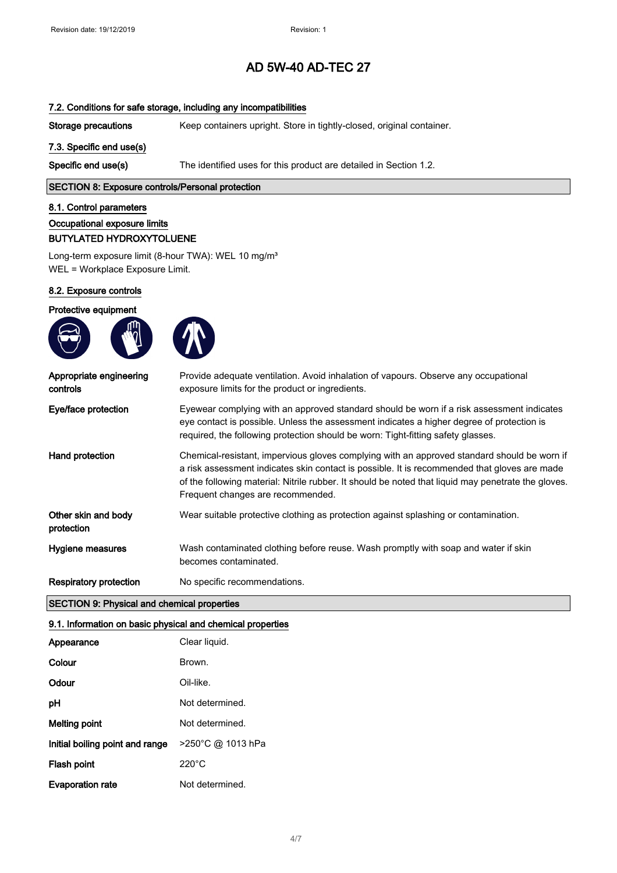### 7.2. Conditions for safe storage, including any incompatibilities

Storage precautions Keep containers upright. Store in tightly-closed, original container.

#### 7.3. Specific end use(s)

Specific end use(s) The identified uses for this product are detailed in Section 1.2.

### SECTION 8: Exposure controls/Personal protection

#### 8.1. Control parameters

Occupational exposure limits

#### BUTYLATED HYDROXYTOLUENE

Long-term exposure limit (8-hour TWA): WEL 10 mg/m<sup>3</sup> WEL = Workplace Exposure Limit.

#### 8.2. Exposure controls

## Protective equipment





| Appropriate engineering<br>controls | Provide adequate ventilation. Avoid inhalation of vapours. Observe any occupational<br>exposure limits for the product or ingredients.                                                                                                                                                                                                  |
|-------------------------------------|-----------------------------------------------------------------------------------------------------------------------------------------------------------------------------------------------------------------------------------------------------------------------------------------------------------------------------------------|
| Eye/face protection                 | Eyewear complying with an approved standard should be worn if a risk assessment indicates<br>eye contact is possible. Unless the assessment indicates a higher degree of protection is<br>required, the following protection should be worn: Tight-fitting safety glasses.                                                              |
| Hand protection                     | Chemical-resistant, impervious gloves complying with an approved standard should be worn if<br>a risk assessment indicates skin contact is possible. It is recommended that gloves are made<br>of the following material: Nitrile rubber. It should be noted that liquid may penetrate the gloves.<br>Frequent changes are recommended. |
| Other skin and body<br>protection   | Wear suitable protective clothing as protection against splashing or contamination.                                                                                                                                                                                                                                                     |
| Hygiene measures                    | Wash contaminated clothing before reuse. Wash promptly with soap and water if skin<br>becomes contaminated.                                                                                                                                                                                                                             |
| <b>Respiratory protection</b>       | No specific recommendations.                                                                                                                                                                                                                                                                                                            |

### SECTION 9: Physical and chemical properties

#### 9.1. Information on basic physical and chemical properties

| Appearance                      | Clear liquid.     |
|---------------------------------|-------------------|
| Colour                          | Brown.            |
| Odour                           | Oil-like.         |
| рH                              | Not determined.   |
| Melting point                   | Not determined.   |
| Initial boiling point and range | >250°C @ 1013 hPa |
| Flash point                     | 220°C             |
| <b>Evaporation rate</b>         | Not determined.   |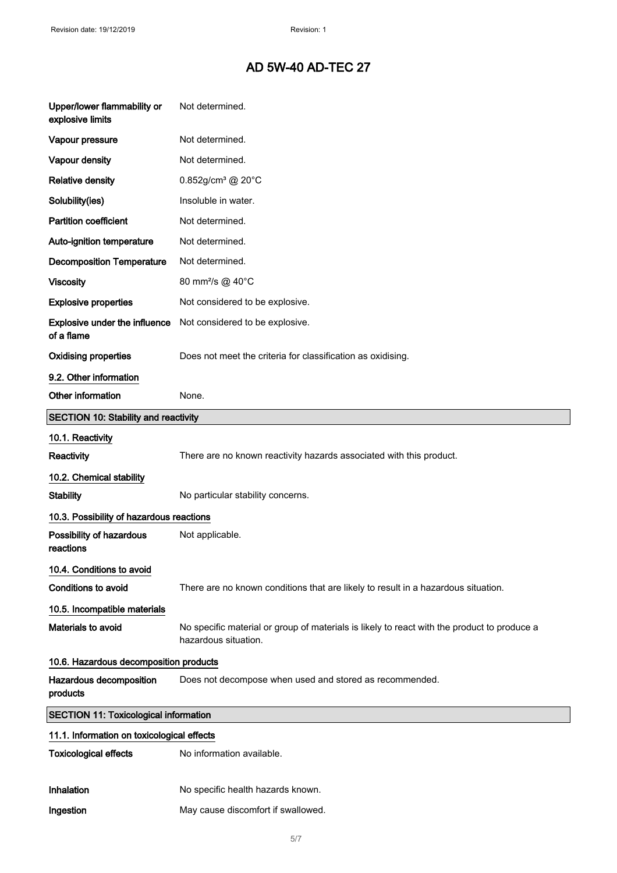| Upper/lower flammability or<br>explosive limits    | Not determined.                                                                                                     |
|----------------------------------------------------|---------------------------------------------------------------------------------------------------------------------|
| Vapour pressure                                    | Not determined.                                                                                                     |
| Vapour density                                     | Not determined.                                                                                                     |
| <b>Relative density</b>                            | $0.852$ g/cm <sup>3</sup> @ 20°C                                                                                    |
| Solubility(ies)                                    | Insoluble in water.                                                                                                 |
| <b>Partition coefficient</b>                       | Not determined.                                                                                                     |
| Auto-ignition temperature                          | Not determined.                                                                                                     |
| <b>Decomposition Temperature</b>                   | Not determined.                                                                                                     |
| <b>Viscosity</b>                                   | 80 mm <sup>2</sup> /s @ 40°C                                                                                        |
| <b>Explosive properties</b>                        | Not considered to be explosive.                                                                                     |
| <b>Explosive under the influence</b><br>of a flame | Not considered to be explosive.                                                                                     |
| <b>Oxidising properties</b>                        | Does not meet the criteria for classification as oxidising.                                                         |
| 9.2. Other information                             |                                                                                                                     |
| Other information                                  | None.                                                                                                               |
| SECTION 10: Stability and reactivity               |                                                                                                                     |
| 10.1. Reactivity                                   |                                                                                                                     |
| <b>Reactivity</b>                                  | There are no known reactivity hazards associated with this product.                                                 |
| 10.2. Chemical stability                           |                                                                                                                     |
| <b>Stability</b>                                   | No particular stability concerns.                                                                                   |
| 10.3. Possibility of hazardous reactions           |                                                                                                                     |
| Possibility of hazardous<br>reactions              | Not applicable.                                                                                                     |
| 10.4. Conditions to avoid                          |                                                                                                                     |
| <b>Conditions to avoid</b>                         | There are no known conditions that are likely to result in a hazardous situation.                                   |
| 10.5. Incompatible materials                       |                                                                                                                     |
| Materials to avoid                                 | No specific material or group of materials is likely to react with the product to produce a<br>hazardous situation. |
| 10.6. Hazardous decomposition products             |                                                                                                                     |
| Hazardous decomposition<br>products                | Does not decompose when used and stored as recommended.                                                             |
| <b>SECTION 11: Toxicological information</b>       |                                                                                                                     |
| 11.1. Information on toxicological effects         |                                                                                                                     |
| <b>Toxicological effects</b>                       | No information available.                                                                                           |
| Inhalation                                         | No specific health hazards known.                                                                                   |
| Ingestion                                          | May cause discomfort if swallowed.                                                                                  |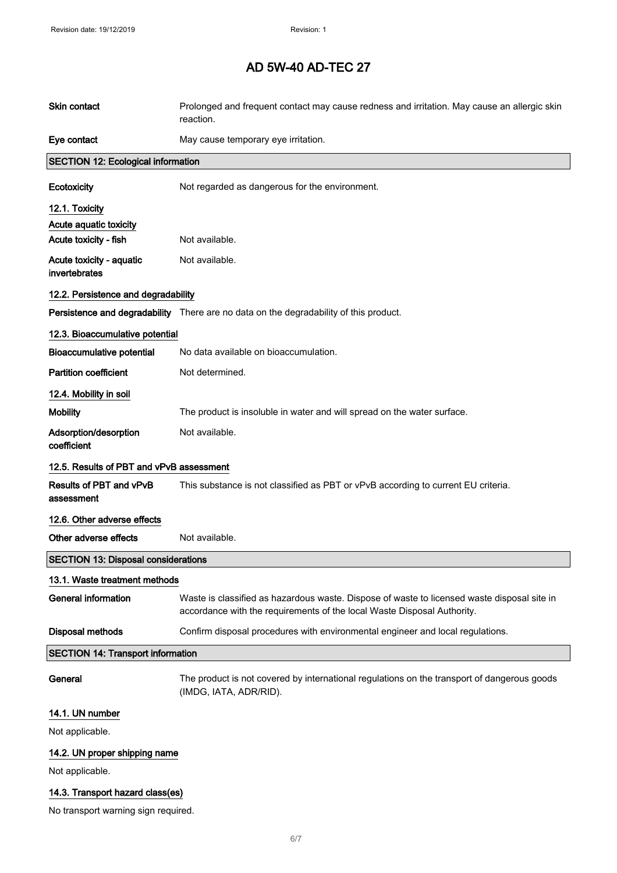| Skin contact                               | Prolonged and frequent contact may cause redness and irritation. May cause an allergic skin<br>reaction.                                                               |  |
|--------------------------------------------|------------------------------------------------------------------------------------------------------------------------------------------------------------------------|--|
| Eye contact                                | May cause temporary eye irritation.                                                                                                                                    |  |
| <b>SECTION 12: Ecological information</b>  |                                                                                                                                                                        |  |
| Ecotoxicity                                | Not regarded as dangerous for the environment.                                                                                                                         |  |
| 12.1. Toxicity                             |                                                                                                                                                                        |  |
| Acute aquatic toxicity                     |                                                                                                                                                                        |  |
| Acute toxicity - fish                      | Not available.                                                                                                                                                         |  |
| Acute toxicity - aquatic<br>invertebrates  | Not available.                                                                                                                                                         |  |
| 12.2. Persistence and degradability        |                                                                                                                                                                        |  |
|                                            | Persistence and degradability There are no data on the degradability of this product.                                                                                  |  |
| 12.3. Bioaccumulative potential            |                                                                                                                                                                        |  |
| <b>Bioaccumulative potential</b>           | No data available on bioaccumulation.                                                                                                                                  |  |
| <b>Partition coefficient</b>               | Not determined.                                                                                                                                                        |  |
| 12.4. Mobility in soil                     |                                                                                                                                                                        |  |
| <b>Mobility</b>                            | The product is insoluble in water and will spread on the water surface.                                                                                                |  |
| Adsorption/desorption<br>coefficient       | Not available.                                                                                                                                                         |  |
| 12.5. Results of PBT and vPvB assessment   |                                                                                                                                                                        |  |
| Results of PBT and vPvB<br>assessment      | This substance is not classified as PBT or vPvB according to current EU criteria.                                                                                      |  |
| 12.6. Other adverse effects                |                                                                                                                                                                        |  |
| Other adverse effects                      | Not available.                                                                                                                                                         |  |
| <b>SECTION 13: Disposal considerations</b> |                                                                                                                                                                        |  |
| 13.1. Waste treatment methods              |                                                                                                                                                                        |  |
| <b>General information</b>                 | Waste is classified as hazardous waste. Dispose of waste to licensed waste disposal site in<br>accordance with the requirements of the local Waste Disposal Authority. |  |
| <b>Disposal methods</b>                    | Confirm disposal procedures with environmental engineer and local regulations.                                                                                         |  |
| <b>SECTION 14: Transport information</b>   |                                                                                                                                                                        |  |
| General                                    | The product is not covered by international regulations on the transport of dangerous goods<br>(IMDG, IATA, ADR/RID).                                                  |  |
| 14.1. UN number                            |                                                                                                                                                                        |  |
| Not applicable.                            |                                                                                                                                                                        |  |
| 14.2. UN proper shipping name              |                                                                                                                                                                        |  |
| Not applicable.                            |                                                                                                                                                                        |  |
| 14.3. Transport hazard class(es)           |                                                                                                                                                                        |  |

No transport warning sign required.